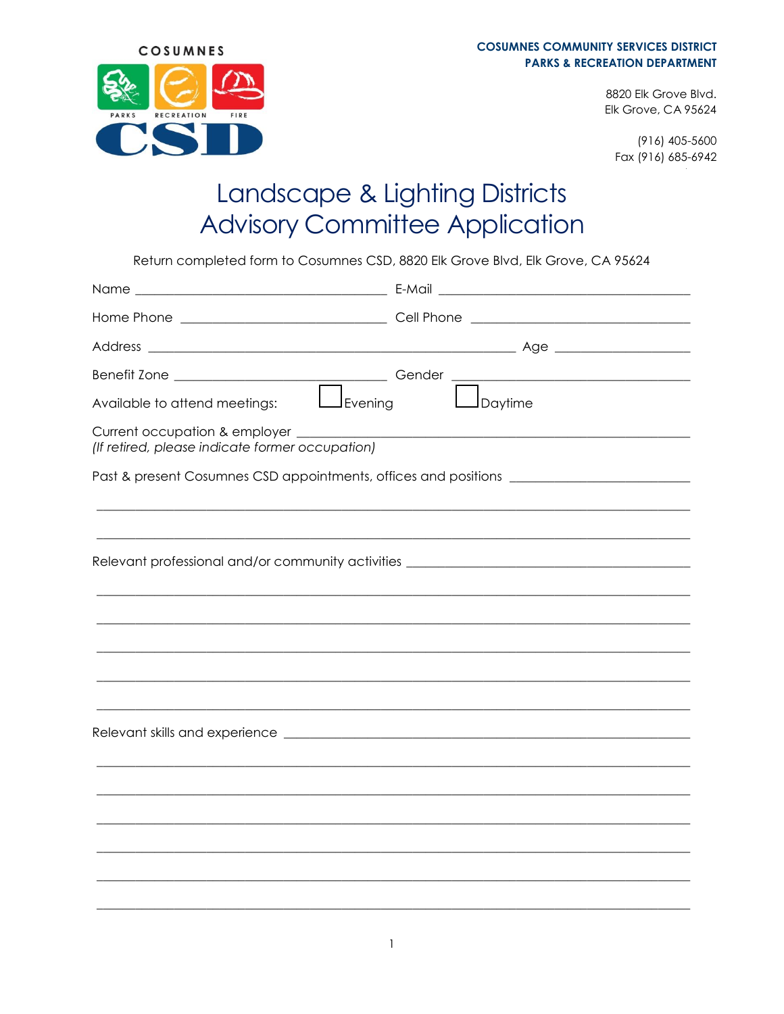

8820 Elk Grove Blvd. Elk Grove, CA 95624

 $(916)$  405-5600 Fax (916) 685-6942

## Landscape & Lighting Districts **Advisory Committee Application**

Return completed form to Cosumnes CSD, 8820 Elk Grove Blvd, Elk Grove, CA 95624

| (If retired, please indicate former occupation)                                         |                                                                                  |  |
|-----------------------------------------------------------------------------------------|----------------------------------------------------------------------------------|--|
| Past & present Cosumnes CSD appointments, offices and positions _______________________ |                                                                                  |  |
|                                                                                         |                                                                                  |  |
|                                                                                         | Relevant professional and/or community activities ______________________________ |  |
|                                                                                         |                                                                                  |  |
|                                                                                         |                                                                                  |  |
|                                                                                         |                                                                                  |  |
|                                                                                         |                                                                                  |  |
|                                                                                         |                                                                                  |  |
|                                                                                         |                                                                                  |  |
|                                                                                         |                                                                                  |  |
|                                                                                         |                                                                                  |  |
|                                                                                         |                                                                                  |  |
|                                                                                         |                                                                                  |  |
|                                                                                         |                                                                                  |  |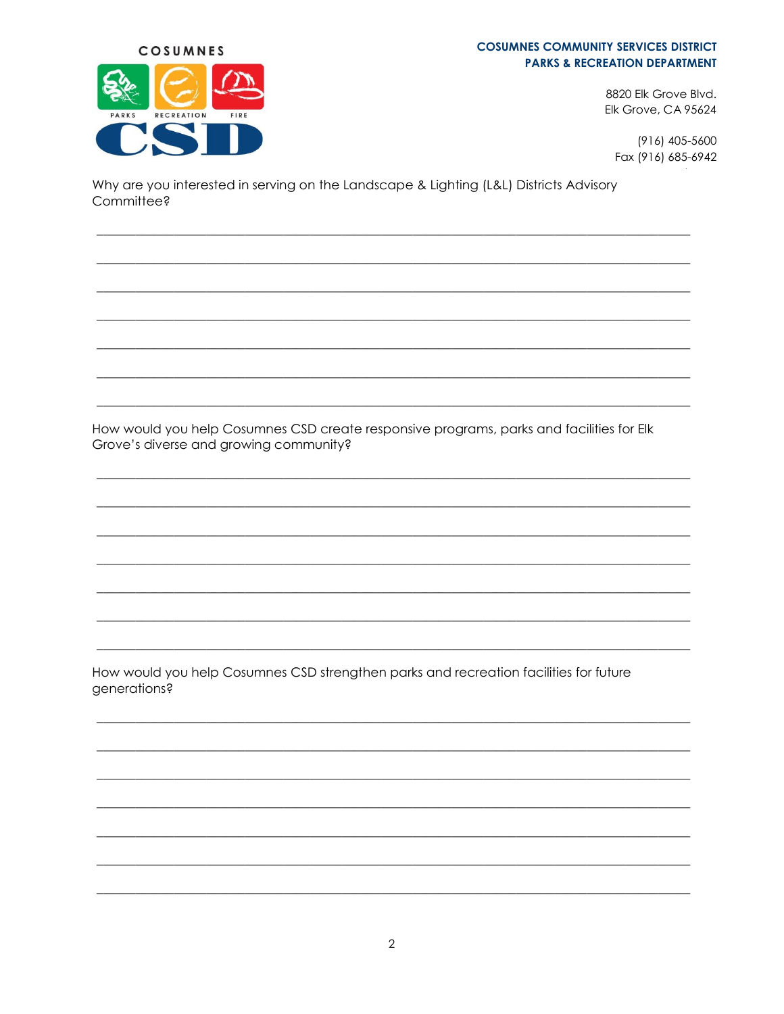## **COSUMNES COMMUNITY SERVICES DISTRICT PARKS & RECREATION DEPARTMENT**



 $(916)$  405-5600 Fax (916) 685-6942

Why are you interested in serving on the Landscape & Lighting (L&L) Districts Advisory Committee?

COSUMNES

RECREATION

FIRE

ARKS

How would you help Cosumnes CSD create responsive programs, parks and facilities for Elk Grove's diverse and growing community?

How would you help Cosumnes CSD strengthen parks and recreation facilities for future generations?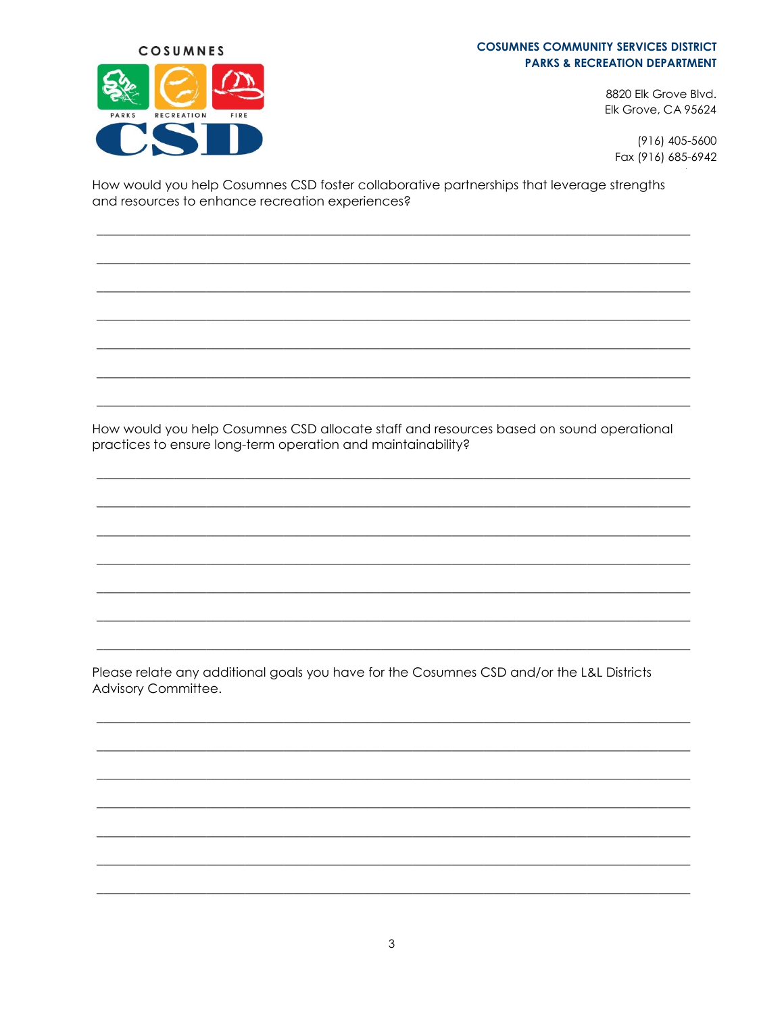## **COSUMNES COMMUNITY SERVICES DISTRICT PARKS & RECREATION DEPARTMENT**



 $(916)$  405-5600 Fax (916) 685-6942

How would you help Cosumnes CSD foster collaborative partnerships that leverage strengths and resources to enhance recreation experiences?

COSUMNES

RECREATION

FIRE

ARKS

How would you help Cosumnes CSD allocate staff and resources based on sound operational practices to ensure long-term operation and maintainability?

Please relate any additional goals you have for the Cosumnes CSD and/or the L&L Districts Advisory Committee.